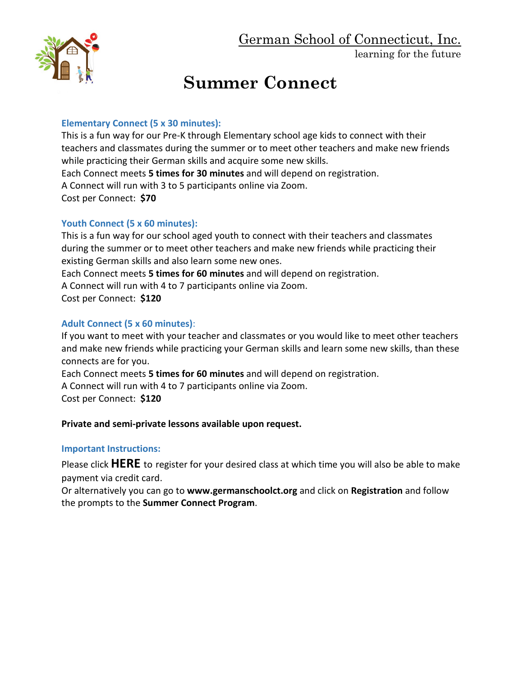German School of Connecticut, Inc.<br>learning for the future



# **Summer Connect**

### **Elementary Connect (5 x 30 minutes):**

This is a fun way for our Pre-K through Elementary school age kids to connect with their teachers and classmates during the summer or to meet other teachers and make new friends while practicing their German skills and acquire some new skills. Each Connect meets **5 times for 30 minutes** and will depend on registration. A Connect will run with 3 to 5 participants online via Zoom. Cost per Connect: **\$70**

### **Youth Connect (5 x 60 minutes):**

This is a fun way for our school aged youth to connect with their teachers and classmates during the summer or to meet other teachers and make new friends while practicing their existing German skills and also learn some new ones.

Each Connect meets **5 times for 60 minutes** and will depend on registration.

A Connect will run with 4 to 7 participants online via Zoom.

Cost per Connect: **\$120**

### **Adult Connect (5 x 60 minutes)**:

If you want to meet with your teacher and classmates or you would like to meet other teachers and make new friends while practicing your German skills and learn some new skills, than these connects are for you.

Each Connect meets **5 times for 60 minutes** and will depend on registration.

A Connect will run with 4 to 7 participants online via Zoom.

Cost per Connect: **\$120**

#### **Private and semi-private lessons available upon request.**

### **Important Instructions:**

Please click **HERE** to register for your desired class at which time you will also be able to make payment via credit card.

Or alternatively you can go to **www.germanschoolct.org** and click on **Registration** and follow the prompts to the **Summer Connect Program**.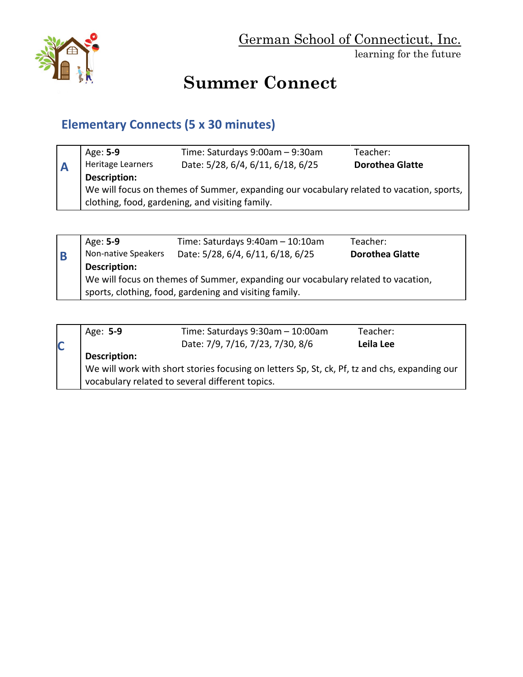

# **Summer Connect**

## **Elementary Connects (5 x 30 minutes)**

| Age: 5-9          | Time: Saturdays $9:00$ am $-9:30$ am                                                                                                        | Teacher:               |
|-------------------|---------------------------------------------------------------------------------------------------------------------------------------------|------------------------|
| Heritage Learners | Date: 5/28, 6/4, 6/11, 6/18, 6/25                                                                                                           | <b>Dorothea Glatte</b> |
| Description:      | We will focus on themes of Summer, expanding our vocabulary related to vacation, sports,<br>clothing, food, gardening, and visiting family. |                        |

| B | Age: <b>5-9</b><br>Non-native Speakers | Time: Saturdays 9:40am - 10:10am<br>Date: 5/28, 6/4, 6/11, 6/18, 6/25                                                                      | Teacher:<br><b>Dorothea Glatte</b> |
|---|----------------------------------------|--------------------------------------------------------------------------------------------------------------------------------------------|------------------------------------|
|   | Description:                           |                                                                                                                                            |                                    |
|   |                                        | We will focus on themes of Summer, expanding our vocabulary related to vacation,<br>sports, clothing, food, gardening and visiting family. |                                    |

| C | Age: 5-9     | Time: Saturdays 9:30am - 10:00am<br>Date: 7/9, 7/16, 7/23, 7/30, 8/6                                                                             | Teacher:<br>Leila Lee |
|---|--------------|--------------------------------------------------------------------------------------------------------------------------------------------------|-----------------------|
|   | Description: |                                                                                                                                                  |                       |
|   |              | We will work with short stories focusing on letters Sp, St, ck, Pf, tz and chs, expanding our<br>vocabulary related to several different topics. |                       |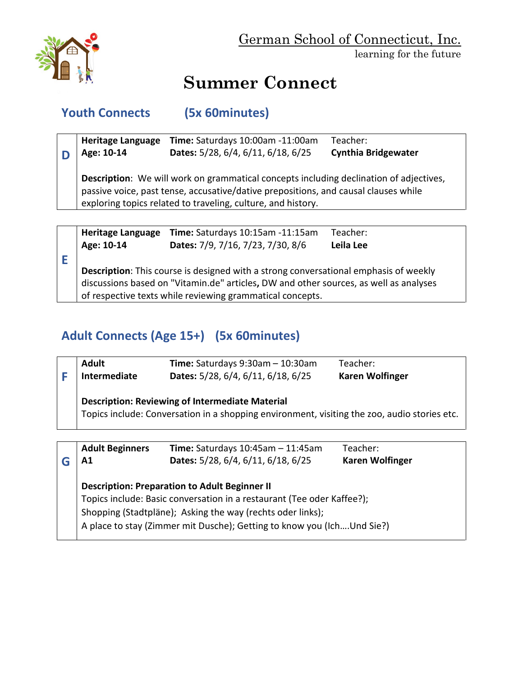

German School of Connecticut, Inc.<br>learning for the future

## **Summer Connect**

|   | <b>Youth Connects</b>                  | (5x 60minutes)                                                                                                                                                                                                                                       |                                        |
|---|----------------------------------------|------------------------------------------------------------------------------------------------------------------------------------------------------------------------------------------------------------------------------------------------------|----------------------------------------|
| D | <b>Heritage Language</b><br>Age: 10-14 | Time: Saturdays 10:00am -11:00am<br>Dates: 5/28, 6/4, 6/11, 6/18, 6/25                                                                                                                                                                               | Teacher:<br><b>Cynthia Bridgewater</b> |
|   |                                        | <b>Description:</b> We will work on grammatical concepts including declination of adjectives,<br>passive voice, past tense, accusative/dative prepositions, and causal clauses while<br>exploring topics related to traveling, culture, and history. |                                        |
|   |                                        |                                                                                                                                                                                                                                                      |                                        |
|   | <b>Heritage Language</b>               | Time: Saturdays 10:15am -11:15am                                                                                                                                                                                                                     | Teacher:                               |
|   | Age: 10-14                             | Dates: 7/9, 7/16, 7/23, 7/30, 8/6                                                                                                                                                                                                                    | Leila Lee                              |
| E |                                        |                                                                                                                                                                                                                                                      |                                        |
|   |                                        | <b>Description:</b> This course is designed with a strong conversational emphasis of weekly<br>discussions based on "Vitamin.de" articles, DW and other sources, as well as analyses                                                                 |                                        |

## **Adult Connects (Age 15+) (5x 60minutes)**

of respective texts while reviewing grammatical concepts.

|   | <b>Adult</b>           | <b>Time:</b> Saturdays $9:30$ am $-10:30$ am                                                 | Teacher:               |
|---|------------------------|----------------------------------------------------------------------------------------------|------------------------|
| F | Intermediate           | Dates: 5/28, 6/4, 6/11, 6/18, 6/25                                                           | <b>Karen Wolfinger</b> |
|   |                        | <b>Description: Reviewing of Intermediate Material</b>                                       |                        |
|   |                        | Topics include: Conversation in a shopping environment, visiting the zoo, audio stories etc. |                        |
|   |                        |                                                                                              |                        |
|   | <b>Adult Beginners</b> | Time: Saturdays $10:45$ am - 11:45am                                                         | Teacher:               |
| G | A1                     | Dates: 5/28, 6/4, 6/11, 6/18, 6/25                                                           | <b>Karen Wolfinger</b> |
|   |                        | <b>Description: Preparation to Adult Beginner II</b>                                         |                        |
|   |                        | Topics include: Basic conversation in a restaurant (Tee oder Kaffee?);                       |                        |
|   |                        | Shopping (Stadtpläne); Asking the way (rechts oder links);                                   |                        |
|   |                        | A place to stay (Zimmer mit Dusche); Getting to know you (IchUnd Sie?)                       |                        |